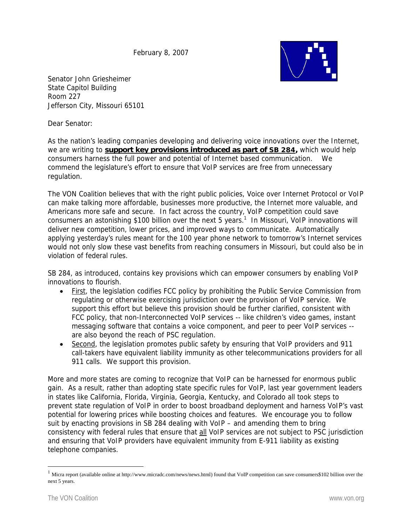February 8, 2007



Senator John Griesheimer State Capitol Building Room 227 Jefferson City, Missouri 65101

Dear Senator:

As the nation's leading companies developing and delivering voice innovations over the Internet, we are writing to **support key provisions introduced as part of SB 284**, which would help consumers harness the full power and potential of Internet based communication. We commend the legislature's effort to ensure that VoIP services are free from unnecessary regulation.

The VON Coalition believes that with the right public policies, Voice over Internet Protocol or VoIP can make talking more affordable, businesses more productive, the Internet more valuable, and Americans more safe and secure. In fact across the country, VoIP competition could save consumers an astonishing \$100 billion over the next 5 years.<sup>1</sup> In Missouri, VoIP innovations will deliver new competition, lower prices, and improved ways to communicate. Automatically applying yesterday's rules meant for the 100 year phone network to tomorrow's Internet services would not only slow these vast benefits from reaching consumers in Missouri, but could also be in violation of federal rules.

SB 284, as introduced, contains key provisions which can empower consumers by enabling VoIP innovations to flourish.

- First, the legislation codifies FCC policy by prohibiting the Public Service Commission from regulating or otherwise exercising jurisdiction over the provision of VoIP service. We support this effort but believe this provision should be further clarified, consistent with FCC policy, that non-Interconnected VoIP services -- like children's video games, instant messaging software that contains a voice component, and peer to peer VoIP services - are also beyond the reach of PSC regulation.
- Second, the legislation promotes public safety by ensuring that VoIP providers and 911 call-takers have equivalent liability immunity as other telecommunications providers for all 911 calls. We support this provision.

More and more states are coming to recognize that VoIP can be harnessed for enormous public gain. As a result, rather than adopting state specific rules for VoIP, last year government leaders in states like California, Florida, Virginia, Georgia, Kentucky, and Colorado all took steps to prevent state regulation of VoIP in order to boost broadband deployment and harness VoIP's vast potential for lowering prices while boosting choices and features. We encourage you to follow suit by enacting provisions in SB 284 dealing with VoIP – and amending them to bring consistency with federal rules that ensure that all VoIP services are not subject to PSC jurisdiction and ensuring that VoIP providers have equivalent immunity from E-911 liability as existing telephone companies.

 $\overline{a}$ 

 $1$  Micra report (available online at http://www.micradc.com/news/news.html) found that VoIP competition can save consumers\$102 billion over the next 5 years.